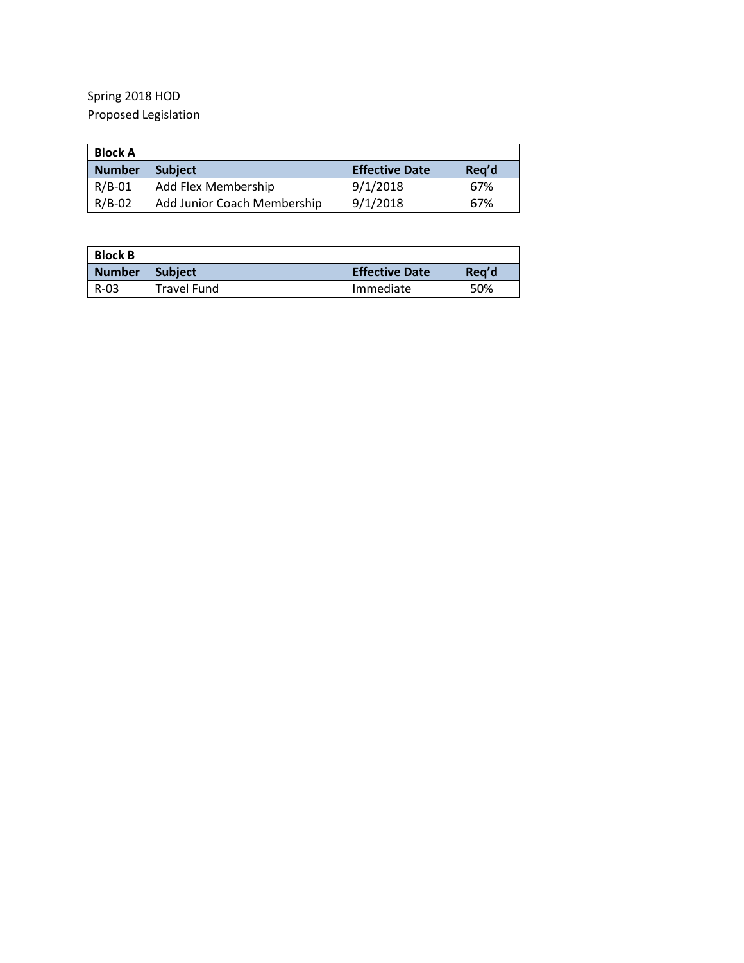## Spring 2018 HOD Proposed Legislation

| <b>Block A</b>                  |                             |                       |       |
|---------------------------------|-----------------------------|-----------------------|-------|
| <b>Number</b><br><b>Subject</b> |                             | <b>Effective Date</b> | Req'd |
| $R/B-01$                        | Add Flex Membership         | 9/1/2018              | 67%   |
| $R/B-02$                        | Add Junior Coach Membership | 9/1/2018              | 67%   |

| <b>Block B</b> |                    |                       |       |  |  |
|----------------|--------------------|-----------------------|-------|--|--|
| <b>Number</b>  | <b>Subject</b>     | <b>Effective Date</b> | Rea'd |  |  |
| R-03           | <b>Travel Fund</b> | Immediate             | 50%   |  |  |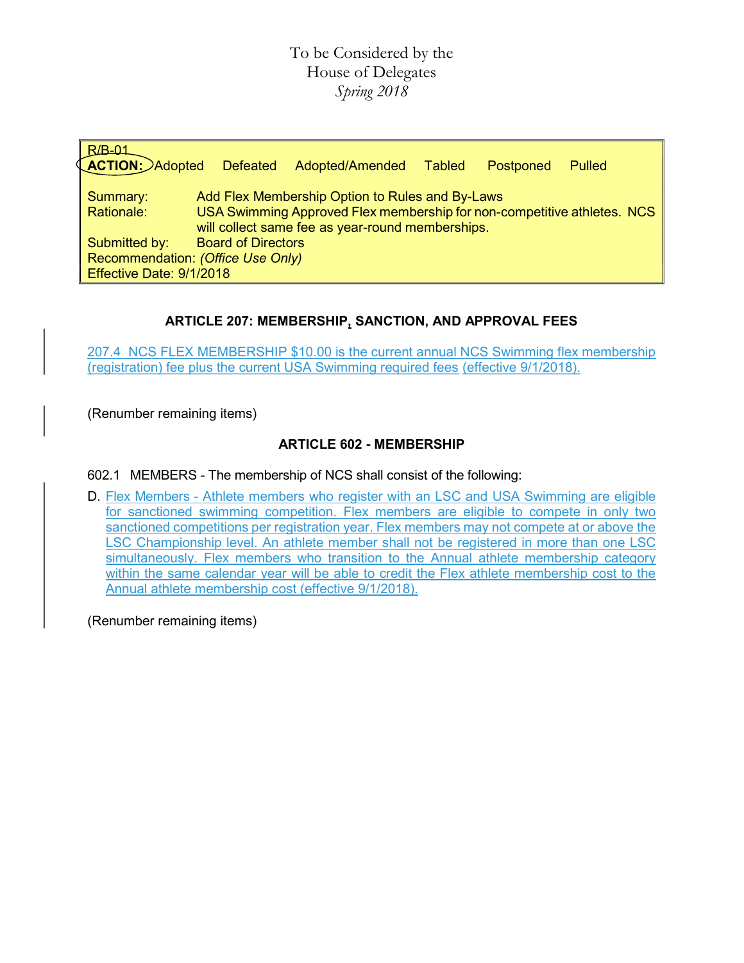## To be Considered by the House of Delegates Spring 2018

| $R/B-01$<br><b>LACTION: Adopted</b>                                                                                                                                                                      | <b>Defeated</b>           | Adopted/Amended | <b>Tabled</b> | Postponed | Pulled |
|----------------------------------------------------------------------------------------------------------------------------------------------------------------------------------------------------------|---------------------------|-----------------|---------------|-----------|--------|
| Add Flex Membership Option to Rules and By-Laws<br>Summary:<br>USA Swimming Approved Flex membership for non-competitive athletes. NCS<br>Rationale:<br>will collect same fee as year-round memberships. |                           |                 |               |           |        |
| Submitted by:<br>Recommendation: (Office Use Only)<br>Effective Date: 9/1/2018                                                                                                                           | <b>Board of Directors</b> |                 |               |           |        |

## ARTICLE 207: MEMBERSHIP, SANCTION, AND APPROVAL FEES

207.4 NCS FLEX MEMBERSHIP \$10.00 is the current annual NCS Swimming flex membership (registration) fee plus the current USA Swimming required fees (effective 9/1/2018).

(Renumber remaining items)

### ARTICLE 602 - MEMBERSHIP

602.1 MEMBERS - The membership of NCS shall consist of the following:

D. Flex Members - Athlete members who register with an LSC and USA Swimming are eligible for sanctioned swimming competition. Flex members are eligible to compete in only two sanctioned competitions per registration year. Flex members may not compete at or above the LSC Championship level. An athlete member shall not be registered in more than one LSC simultaneously. Flex members who transition to the Annual athlete membership category within the same calendar year will be able to credit the Flex athlete membership cost to the Annual athlete membership cost (effective 9/1/2018).

(Renumber remaining items)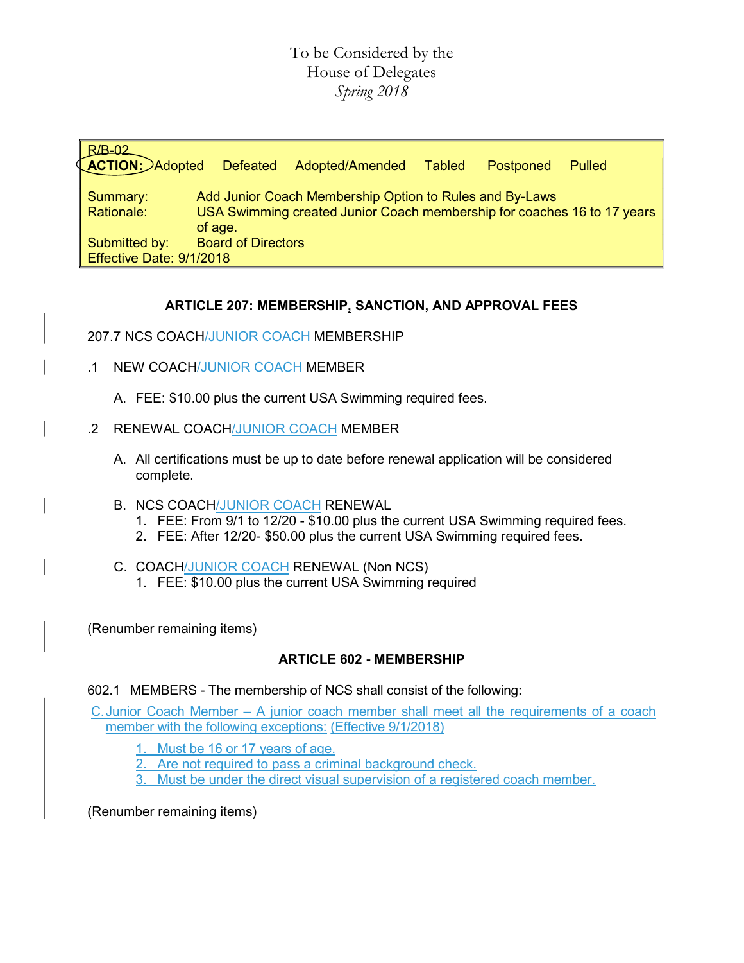## To be Considered by the House of Delegates Spring 2018

| $B$ $B$ $-02$<br><b>ACTION:</b> Adopted   | <b>Defeated</b>                                                                                                                               | Adopted/Amended | <b>Tabled</b> | Postponed | Pulled |  |
|-------------------------------------------|-----------------------------------------------------------------------------------------------------------------------------------------------|-----------------|---------------|-----------|--------|--|
| Summary:<br>Rationale:                    | Add Junior Coach Membership Option to Rules and By-Laws<br>USA Swimming created Junior Coach membership for coaches 16 to 17 years<br>of age. |                 |               |           |        |  |
| Submitted by:<br>Effective Date: 9/1/2018 | <b>Board of Directors</b>                                                                                                                     |                 |               |           |        |  |

### ARTICLE 207: MEMBERSHIP, SANCTION, AND APPROVAL FEES

#### 207.7 NCS COACH/JUNIOR COACH MEMBERSHIP

- .1 NEW COACH/JUNIOR COACH MEMBER
	- A. FEE: \$10.00 plus the current USA Swimming required fees.
- .2 RENEWAL COACH/JUNIOR COACH MEMBER
	- A. All certifications must be up to date before renewal application will be considered complete.
	- B. NCS COACH/JUNIOR COACH RENEWAL
		- 1. FEE: From 9/1 to 12/20 \$10.00 plus the current USA Swimming required fees.
		- 2. FEE: After 12/20- \$50.00 plus the current USA Swimming required fees.
	- C. COACH/JUNIOR COACH RENEWAL (Non NCS)
		- 1. FEE: \$10.00 plus the current USA Swimming required

(Renumber remaining items)

#### ARTICLE 602 - MEMBERSHIP

#### 602.1 MEMBERS - The membership of NCS shall consist of the following:

C. Junior Coach Member – A junior coach member shall meet all the requirements of a coach member with the following exceptions: (Effective 9/1/2018)

- 1. Must be 16 or 17 years of age.
- Are not required to pass a criminal background check.
- Must be under the direct visual supervision of a registered coach member.

(Renumber remaining items)